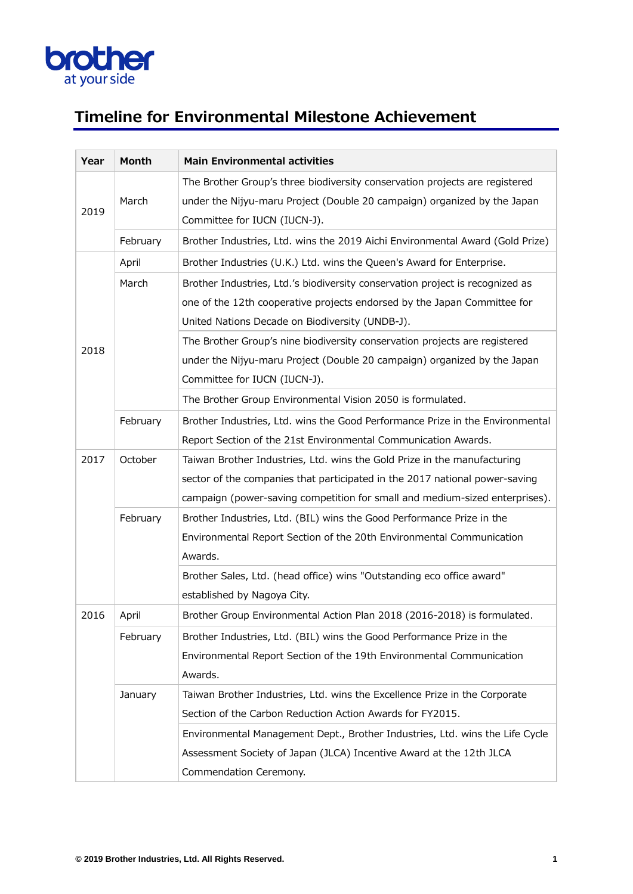

## **Timeline for Environmental Milestone Achievement**

| Year | Month    | <b>Main Environmental activities</b>                                          |
|------|----------|-------------------------------------------------------------------------------|
|      |          | The Brother Group's three biodiversity conservation projects are registered   |
|      | March    | under the Nijyu-maru Project (Double 20 campaign) organized by the Japan      |
| 2019 |          | Committee for IUCN (IUCN-J).                                                  |
|      | February | Brother Industries, Ltd. wins the 2019 Aichi Environmental Award (Gold Prize) |
|      | April    | Brother Industries (U.K.) Ltd. wins the Queen's Award for Enterprise.         |
|      | March    | Brother Industries, Ltd.'s biodiversity conservation project is recognized as |
|      |          | one of the 12th cooperative projects endorsed by the Japan Committee for      |
|      |          | United Nations Decade on Biodiversity (UNDB-J).                               |
|      |          | The Brother Group's nine biodiversity conservation projects are registered    |
| 2018 |          | under the Nijyu-maru Project (Double 20 campaign) organized by the Japan      |
|      |          | Committee for IUCN (IUCN-J).                                                  |
|      |          | The Brother Group Environmental Vision 2050 is formulated.                    |
|      | February | Brother Industries, Ltd. wins the Good Performance Prize in the Environmental |
|      |          | Report Section of the 21st Environmental Communication Awards.                |
| 2017 | October  | Taiwan Brother Industries, Ltd. wins the Gold Prize in the manufacturing      |
|      |          | sector of the companies that participated in the 2017 national power-saving   |
|      |          | campaign (power-saving competition for small and medium-sized enterprises).   |
|      | February | Brother Industries, Ltd. (BIL) wins the Good Performance Prize in the         |
|      |          | Environmental Report Section of the 20th Environmental Communication          |
|      |          | Awards.                                                                       |
|      |          | Brother Sales, Ltd. (head office) wins "Outstanding eco office award"         |
|      |          | established by Nagoya City.                                                   |
| 2016 | April    | Brother Group Environmental Action Plan 2018 (2016-2018) is formulated.       |
|      | February | Brother Industries, Ltd. (BIL) wins the Good Performance Prize in the         |
|      |          | Environmental Report Section of the 19th Environmental Communication          |
|      |          | Awards.                                                                       |
|      | January  | Taiwan Brother Industries, Ltd. wins the Excellence Prize in the Corporate    |
|      |          | Section of the Carbon Reduction Action Awards for FY2015.                     |
|      |          | Environmental Management Dept., Brother Industries, Ltd. wins the Life Cycle  |
|      |          | Assessment Society of Japan (JLCA) Incentive Award at the 12th JLCA           |
|      |          | Commendation Ceremony.                                                        |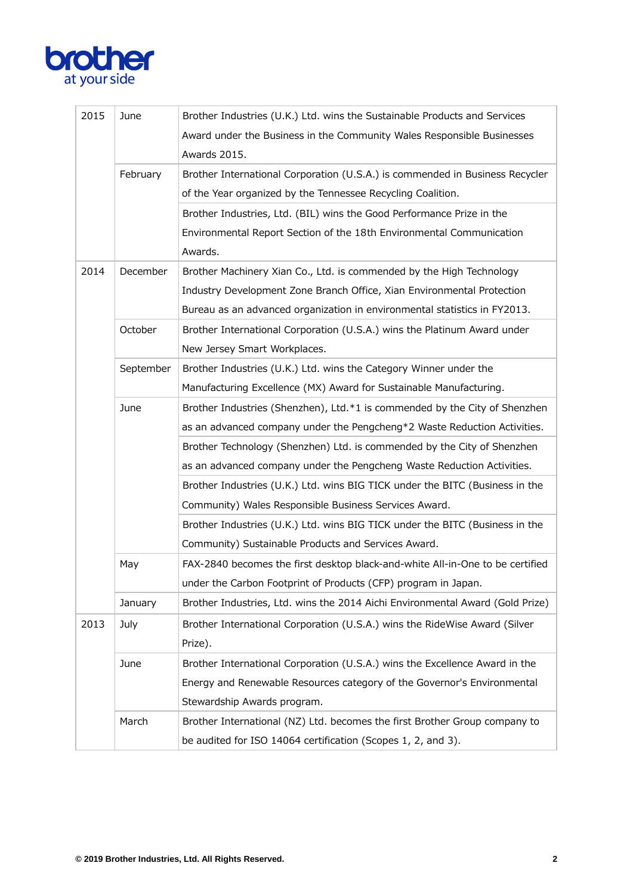

| 2015 | June      | Brother Industries (U.K.) Ltd. wins the Sustainable Products and Services     |
|------|-----------|-------------------------------------------------------------------------------|
|      |           | Award under the Business in the Community Wales Responsible Businesses        |
|      |           | Awards 2015.                                                                  |
|      | February  | Brother International Corporation (U.S.A.) is commended in Business Recycler  |
|      |           | of the Year organized by the Tennessee Recycling Coalition.                   |
|      |           | Brother Industries, Ltd. (BIL) wins the Good Performance Prize in the         |
|      |           | Environmental Report Section of the 18th Environmental Communication          |
|      |           | Awards.                                                                       |
| 2014 | December  | Brother Machinery Xian Co., Ltd. is commended by the High Technology          |
|      |           | Industry Development Zone Branch Office, Xian Environmental Protection        |
|      |           | Bureau as an advanced organization in environmental statistics in FY2013.     |
|      | October   | Brother International Corporation (U.S.A.) wins the Platinum Award under      |
|      |           | New Jersey Smart Workplaces.                                                  |
|      | September | Brother Industries (U.K.) Ltd. wins the Category Winner under the             |
|      |           | Manufacturing Excellence (MX) Award for Sustainable Manufacturing.            |
|      | June      | Brother Industries (Shenzhen), Ltd.*1 is commended by the City of Shenzhen    |
|      |           | as an advanced company under the Pengcheng*2 Waste Reduction Activities.      |
|      |           | Brother Technology (Shenzhen) Ltd. is commended by the City of Shenzhen       |
|      |           | as an advanced company under the Pengcheng Waste Reduction Activities.        |
|      |           | Brother Industries (U.K.) Ltd. wins BIG TICK under the BITC (Business in the  |
|      |           | Community) Wales Responsible Business Services Award.                         |
|      |           | Brother Industries (U.K.) Ltd. wins BIG TICK under the BITC (Business in the  |
|      |           | Community) Sustainable Products and Services Award.                           |
|      | May       | FAX-2840 becomes the first desktop black-and-white All-in-One to be certified |
|      |           | under the Carbon Footprint of Products (CFP) program in Japan.                |
|      | January   | Brother Industries, Ltd. wins the 2014 Aichi Environmental Award (Gold Prize) |
| 2013 | July      | Brother International Corporation (U.S.A.) wins the RideWise Award (Silver    |
|      |           | Prize).                                                                       |
|      | June      | Brother International Corporation (U.S.A.) wins the Excellence Award in the   |
|      |           | Energy and Renewable Resources category of the Governor's Environmental       |
|      |           | Stewardship Awards program.                                                   |
|      | March     | Brother International (NZ) Ltd. becomes the first Brother Group company to    |
|      |           | be audited for ISO 14064 certification (Scopes 1, 2, and 3).                  |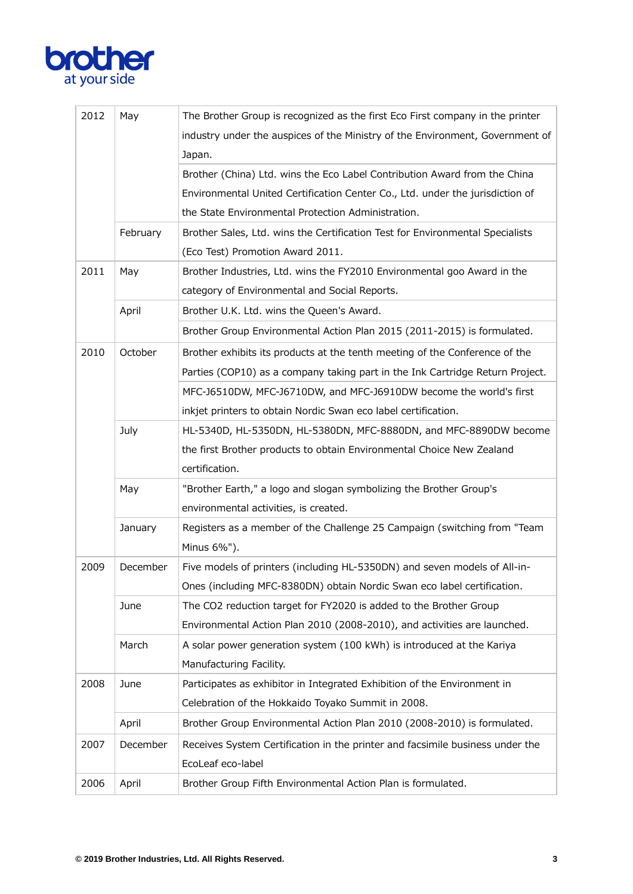

| 2012 | May      | The Brother Group is recognized as the first Eco First company in the printer |
|------|----------|-------------------------------------------------------------------------------|
|      |          | industry under the auspices of the Ministry of the Environment, Government of |
|      |          | Japan.                                                                        |
|      |          | Brother (China) Ltd. wins the Eco Label Contribution Award from the China     |
|      |          | Environmental United Certification Center Co., Ltd. under the jurisdiction of |
|      |          | the State Environmental Protection Administration.                            |
|      | February | Brother Sales, Ltd. wins the Certification Test for Environmental Specialists |
|      |          | (Eco Test) Promotion Award 2011.                                              |
| 2011 | May      | Brother Industries, Ltd. wins the FY2010 Environmental goo Award in the       |
|      |          | category of Environmental and Social Reports.                                 |
|      | April    | Brother U.K. Ltd. wins the Queen's Award.                                     |
|      |          | Brother Group Environmental Action Plan 2015 (2011-2015) is formulated.       |
| 2010 | October  | Brother exhibits its products at the tenth meeting of the Conference of the   |
|      |          | Parties (COP10) as a company taking part in the Ink Cartridge Return Project. |
|      |          | MFC-J6510DW, MFC-J6710DW, and MFC-J6910DW become the world's first            |
|      |          | inkjet printers to obtain Nordic Swan eco label certification.                |
|      | July     | HL-5340D, HL-5350DN, HL-5380DN, MFC-8880DN, and MFC-8890DW become             |
|      |          | the first Brother products to obtain Environmental Choice New Zealand         |
|      |          | certification.                                                                |
|      | May      | "Brother Earth," a logo and slogan symbolizing the Brother Group's            |
|      |          | environmental activities, is created.                                         |
|      | January  | Registers as a member of the Challenge 25 Campaign (switching from "Team      |
|      |          | Minus 6%").                                                                   |
| 2009 | December | Five models of printers (including HL-5350DN) and seven models of All-in-     |
|      |          | Ones (including MFC-8380DN) obtain Nordic Swan eco label certification.       |
|      | June     | The CO2 reduction target for FY2020 is added to the Brother Group             |
|      |          | Environmental Action Plan 2010 (2008-2010), and activities are launched.      |
|      | March    | A solar power generation system (100 kWh) is introduced at the Kariya         |
|      |          | Manufacturing Facility.                                                       |
| 2008 | June     | Participates as exhibitor in Integrated Exhibition of the Environment in      |
|      |          | Celebration of the Hokkaido Toyako Summit in 2008.                            |
|      | April    | Brother Group Environmental Action Plan 2010 (2008-2010) is formulated.       |
| 2007 | December | Receives System Certification in the printer and facsimile business under the |
|      |          | EcoLeaf eco-label                                                             |
| 2006 | April    | Brother Group Fifth Environmental Action Plan is formulated.                  |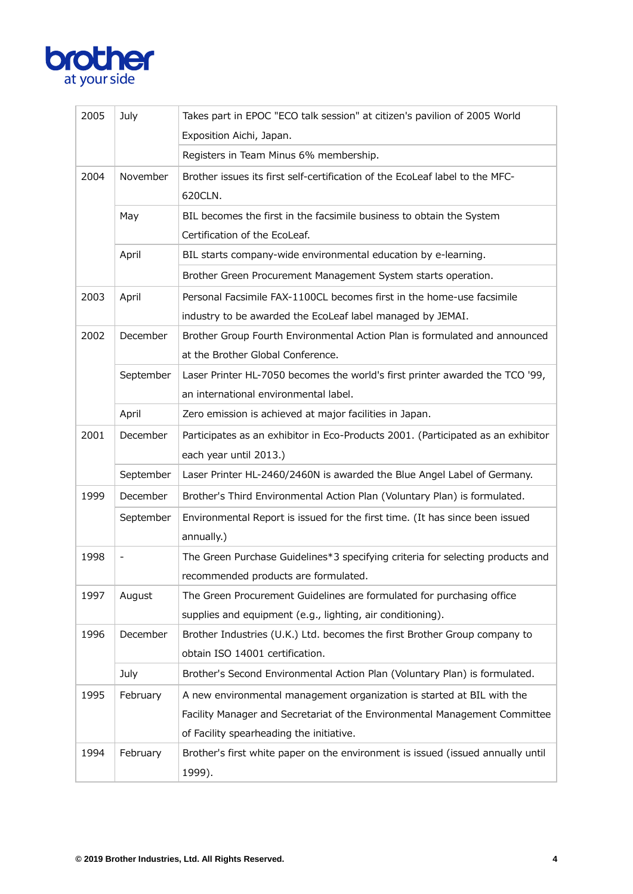

| 2005 | July      | Takes part in EPOC "ECO talk session" at citizen's pavilion of 2005 World        |
|------|-----------|----------------------------------------------------------------------------------|
|      |           | Exposition Aichi, Japan.                                                         |
|      |           | Registers in Team Minus 6% membership.                                           |
| 2004 | November  | Brother issues its first self-certification of the EcoLeaf label to the MFC-     |
|      |           | 620CLN.                                                                          |
|      | May       | BIL becomes the first in the facsimile business to obtain the System             |
|      |           | Certification of the EcoLeaf.                                                    |
|      | April     | BIL starts company-wide environmental education by e-learning.                   |
|      |           | Brother Green Procurement Management System starts operation.                    |
| 2003 | April     | Personal Facsimile FAX-1100CL becomes first in the home-use facsimile            |
|      |           | industry to be awarded the EcoLeaf label managed by JEMAI.                       |
| 2002 | December  | Brother Group Fourth Environmental Action Plan is formulated and announced       |
|      |           | at the Brother Global Conference.                                                |
|      | September | Laser Printer HL-7050 becomes the world's first printer awarded the TCO '99,     |
|      |           | an international environmental label.                                            |
|      | April     | Zero emission is achieved at major facilities in Japan.                          |
| 2001 | December  | Participates as an exhibitor in Eco-Products 2001. (Participated as an exhibitor |
|      |           | each year until 2013.)                                                           |
|      | September | Laser Printer HL-2460/2460N is awarded the Blue Angel Label of Germany.          |
| 1999 | December  | Brother's Third Environmental Action Plan (Voluntary Plan) is formulated.        |
|      | September | Environmental Report is issued for the first time. (It has since been issued     |
|      |           | annually.)                                                                       |
| 1998 |           | The Green Purchase Guidelines*3 specifying criteria for selecting products and   |
|      |           | recommended products are formulated.                                             |
| 1997 | August    | The Green Procurement Guidelines are formulated for purchasing office            |
|      |           | supplies and equipment (e.g., lighting, air conditioning).                       |
| 1996 | December  | Brother Industries (U.K.) Ltd. becomes the first Brother Group company to        |
|      |           | obtain ISO 14001 certification.                                                  |
|      | July      | Brother's Second Environmental Action Plan (Voluntary Plan) is formulated.       |
| 1995 | February  | A new environmental management organization is started at BIL with the           |
|      |           | Facility Manager and Secretariat of the Environmental Management Committee       |
|      |           | of Facility spearheading the initiative.                                         |
| 1994 | February  | Brother's first white paper on the environment is issued (issued annually until  |
|      |           | 1999).                                                                           |